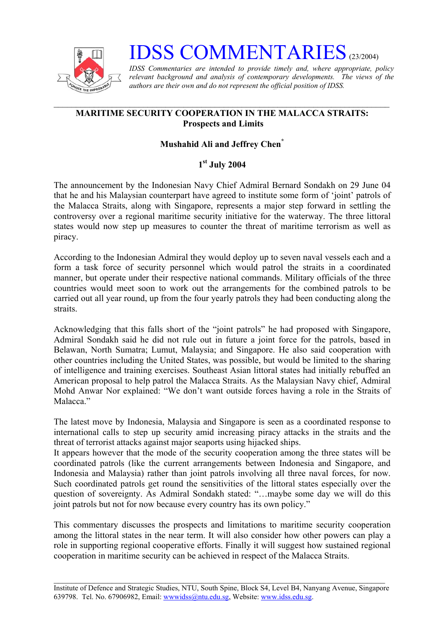

# **IDSS COMMENTARIES** (23/2004)

*IDSS Commentaries are intended to provide timely and, where appropriate, policy relevant background and analysis of contemporary developments. The views of the authors are their own and do not represent the official position of IDSS.* 

## **MARITIME SECURITY COOPERATION IN THE MALACCA STRAITS: Prospects and Limits**

# **Mushahid Ali and Jeffrey Che[n\\*](#page-2-0)**

# **1st July 2004**

The announcement by the Indonesian Navy Chief Admiral Bernard Sondakh on 29 June 04 that he and his Malaysian counterpart have agreed to institute some form of 'joint' patrols of the Malacca Straits, along with Singapore, represents a major step forward in settling the controversy over a regional maritime security initiative for the waterway. The three littoral states would now step up measures to counter the threat of maritime terrorism as well as piracy.

According to the Indonesian Admiral they would deploy up to seven naval vessels each and a form a task force of security personnel which would patrol the straits in a coordinated manner, but operate under their respective national commands. Military officials of the three countries would meet soon to work out the arrangements for the combined patrols to be carried out all year round, up from the four yearly patrols they had been conducting along the straits.

Acknowledging that this falls short of the "joint patrols" he had proposed with Singapore, Admiral Sondakh said he did not rule out in future a joint force for the patrols, based in Belawan, North Sumatra; Lumut, Malaysia; and Singapore. He also said cooperation with other countries including the United States, was possible, but would be limited to the sharing of intelligence and training exercises. Southeast Asian littoral states had initially rebuffed an American proposal to help patrol the Malacca Straits. As the Malaysian Navy chief, Admiral Mohd Anwar Nor explained: "We don't want outside forces having a role in the Straits of Malacca."

The latest move by Indonesia, Malaysia and Singapore is seen as a coordinated response to international calls to step up security amid increasing piracy attacks in the straits and the threat of terrorist attacks against major seaports using hijacked ships.

It appears however that the mode of the security cooperation among the three states will be coordinated patrols (like the current arrangements between Indonesia and Singapore, and Indonesia and Malaysia) rather than joint patrols involving all three naval forces, for now. Such coordinated patrols get round the sensitivities of the littoral states especially over the question of sovereignty. As Admiral Sondakh stated: "...maybe some day we will do this joint patrols but not for now because every country has its own policy."

This commentary discusses the prospects and limitations to maritime security cooperation among the littoral states in the near term. It will also consider how other powers can play a role in supporting regional cooperative efforts. Finally it will suggest how sustained regional cooperation in maritime security can be achieved in respect of the Malacca Straits.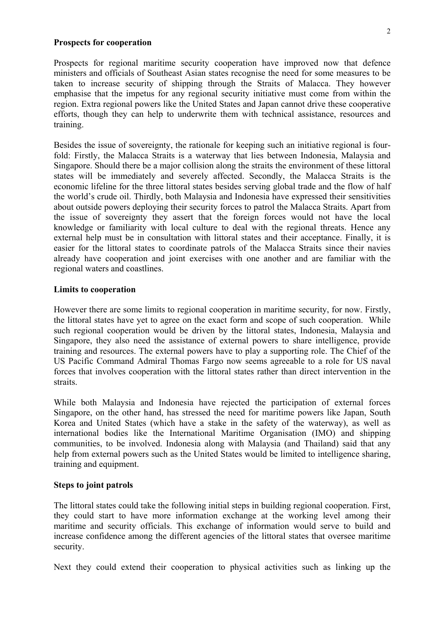#### **Prospects for cooperation**

Prospects for regional maritime security cooperation have improved now that defence ministers and officials of Southeast Asian states recognise the need for some measures to be taken to increase security of shipping through the Straits of Malacca. They however emphasise that the impetus for any regional security initiative must come from within the region. Extra regional powers like the United States and Japan cannot drive these cooperative efforts, though they can help to underwrite them with technical assistance, resources and training.

Besides the issue of sovereignty, the rationale for keeping such an initiative regional is fourfold: Firstly, the Malacca Straits is a waterway that lies between Indonesia, Malaysia and Singapore. Should there be a major collision along the straits the environment of these littoral states will be immediately and severely affected. Secondly, the Malacca Straits is the economic lifeline for the three littoral states besides serving global trade and the flow of half the world's crude oil. Thirdly, both Malaysia and Indonesia have expressed their sensitivities about outside powers deploying their security forces to patrol the Malacca Straits. Apart from the issue of sovereignty they assert that the foreign forces would not have the local knowledge or familiarity with local culture to deal with the regional threats. Hence any external help must be in consultation with littoral states and their acceptance. Finally, it is easier for the littoral states to coordinate patrols of the Malacca Straits since their navies already have cooperation and joint exercises with one another and are familiar with the regional waters and coastlines.

## **Limits to cooperation**

However there are some limits to regional cooperation in maritime security, for now. Firstly, the littoral states have yet to agree on the exact form and scope of such cooperation. While such regional cooperation would be driven by the littoral states, Indonesia, Malaysia and Singapore, they also need the assistance of external powers to share intelligence, provide training and resources. The external powers have to play a supporting role. The Chief of the US Pacific Command Admiral Thomas Fargo now seems agreeable to a role for US naval forces that involves cooperation with the littoral states rather than direct intervention in the straits.

While both Malaysia and Indonesia have rejected the participation of external forces Singapore, on the other hand, has stressed the need for maritime powers like Japan, South Korea and United States (which have a stake in the safety of the waterway), as well as international bodies like the International Maritime Organisation (IMO) and shipping communities, to be involved. Indonesia along with Malaysia (and Thailand) said that any help from external powers such as the United States would be limited to intelligence sharing. training and equipment.

#### **Steps to joint patrols**

The littoral states could take the following initial steps in building regional cooperation. First, they could start to have more information exchange at the working level among their maritime and security officials. This exchange of information would serve to build and increase confidence among the different agencies of the littoral states that oversee maritime security.

Next they could extend their cooperation to physical activities such as linking up the